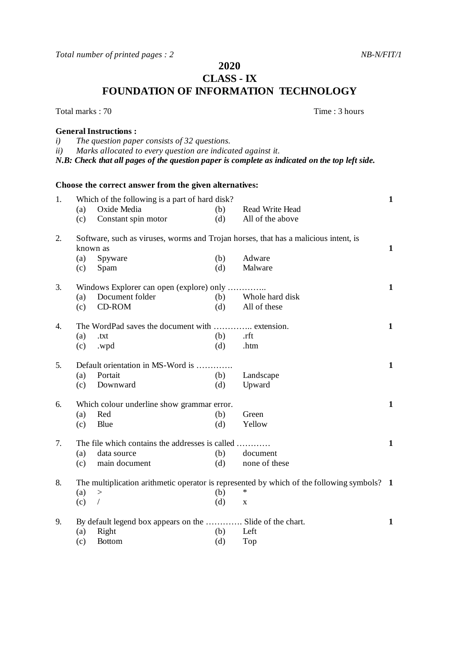*Total number of printed pages : 2 NB-N/FIT/1* 

**2020**

**CLASS - IX**

**FOUNDATION OF INFORMATION TECHNOLOGY**

Total marks : 70 Total marks : 70 Total marks : 70 Total marks : 70 Total marks : 70 Total marks : 70 Total marks : 70 Total marks : 70 Total marks : 70 Total marks : 70 Total marks : 70 Total marks : 70 Total marks : 70 T

## **General Instructions :**

- *i) The question paper consists of 32 questions.*
- *ii) Marks allocated to every question are indicated against it.*
- *N.B: Check that all pages of the question paper is complete as indicated on the top left side.*

## **Choose the correct answer from the given alternatives:** 1. Which of the following is a part of hard disk? **1** (a) Oxide Media (b) Read Write Head (c) Constant spin motor (d) All of the above 2. Software, such as viruses, worms and Trojan horses, that has a malicious intent, is known as **1** (a) Spyware (b) Adware (c) Spam (d) Malware (c) Spam (d) Malware 3. Windows Explorer can open (explore) only ………….. **1** (a) Document folder (b) Whole hard disk (c) CD-ROM (d) All of these 4. The WordPad saves the document with ………….. extension. **1** (a)  $.txt$  (b)  $.rft$ (c) .wpd (d) .htm 5. Default orientation in MS-Word is …………. **1** (a) Portait (b) Landscape (c) Downward (d) Upward 6. Which colour underline show grammar error. **1** (a) Red (b) Green (c) Blue (d) Yellow 7. The file which contains the addresses is called ………… **1** (a) data source (b) document<br>
(c) main document (d) none of th (c) main document (d) none of these 8. The multiplication arithmetic operator is represented by which of the following symbols? **1** (a) > (b) \* (c) / (d) x 9. By default legend box appears on the …………. Slide of the chart. **1** (a) Right (b) Left (c) Bottom (d) Top